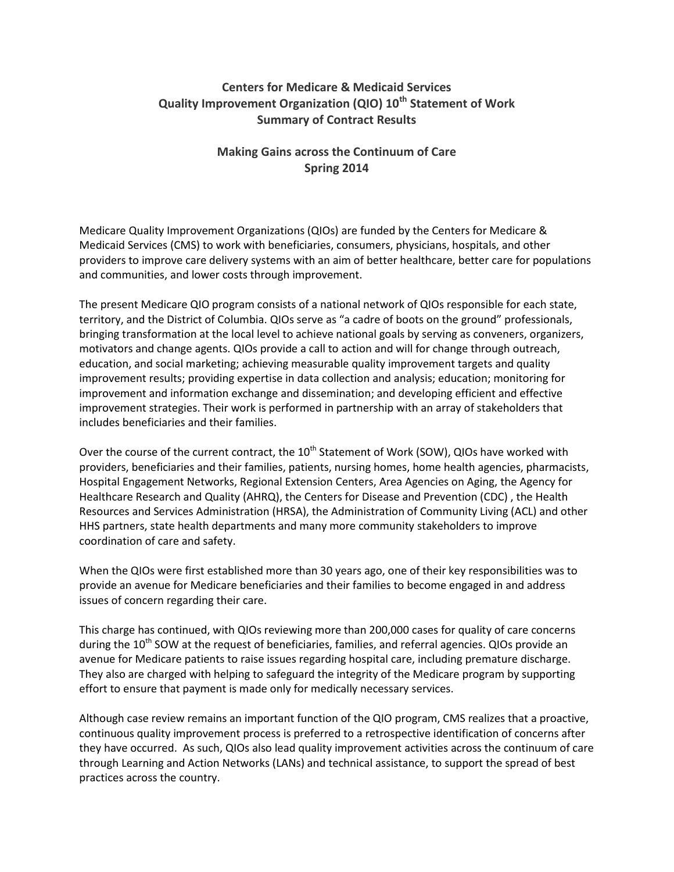## **Centers for Medicare & Medicaid Services Quality Improvement Organization (QIO) 10th Statement of Work Summary of Contract Results**

## **Making Gains across the Continuum of Care Spring 2014**

Medicare Quality Improvement Organizations (QIOs) are funded by the Centers for Medicare & Medicaid Services (CMS) to work with beneficiaries, consumers, physicians, hospitals, and other providers to improve care delivery systems with an aim of better healthcare, better care for populations and communities, and lower costs through improvement.

The present Medicare QIO program consists of a national network of QIOs responsible for each state, territory, and the District of Columbia. QIOs serve as "a cadre of boots on the ground" professionals, bringing transformation at the local level to achieve national goals by serving as conveners, organizers, motivators and change agents. QIOs provide a call to action and will for change through outreach, education, and social marketing; achieving measurable quality improvement targets and quality improvement results; providing expertise in data collection and analysis; education; monitoring for improvement and information exchange and dissemination; and developing efficient and effective improvement strategies. Their work is performed in partnership with an array of stakeholders that includes beneficiaries and their families.

Over the course of the current contract, the 10<sup>th</sup> Statement of Work (SOW), QIOs have worked with providers, beneficiaries and their families, patients, nursing homes, home health agencies, pharmacists, Hospital Engagement Networks, Regional Extension Centers, Area Agencies on Aging, the Agency for Healthcare Research and Quality (AHRQ), the Centers for Disease and Prevention (CDC) , the Health Resources and Services Administration (HRSA), the Administration of Community Living (ACL) and other HHS partners, state health departments and many more community stakeholders to improve coordination of care and safety.

When the QIOs were first established more than 30 years ago, one of their key responsibilities was to provide an avenue for Medicare beneficiaries and their families to become engaged in and address issues of concern regarding their care.

This charge has continued, with QIOs reviewing more than 200,000 cases for quality of care concerns during the  $10^{th}$  SOW at the request of beneficiaries, families, and referral agencies. QIOs provide an avenue for Medicare patients to raise issues regarding hospital care, including premature discharge. They also are charged with helping to safeguard the integrity of the Medicare program by supporting effort to ensure that payment is made only for medically necessary services.

Although case review remains an important function of the QIO program, CMS realizes that a proactive, continuous quality improvement process is preferred to a retrospective identification of concerns after they have occurred. As such, QIOs also lead quality improvement activities across the continuum of care through Learning and Action Networks (LANs) and technical assistance, to support the spread of best practices across the country.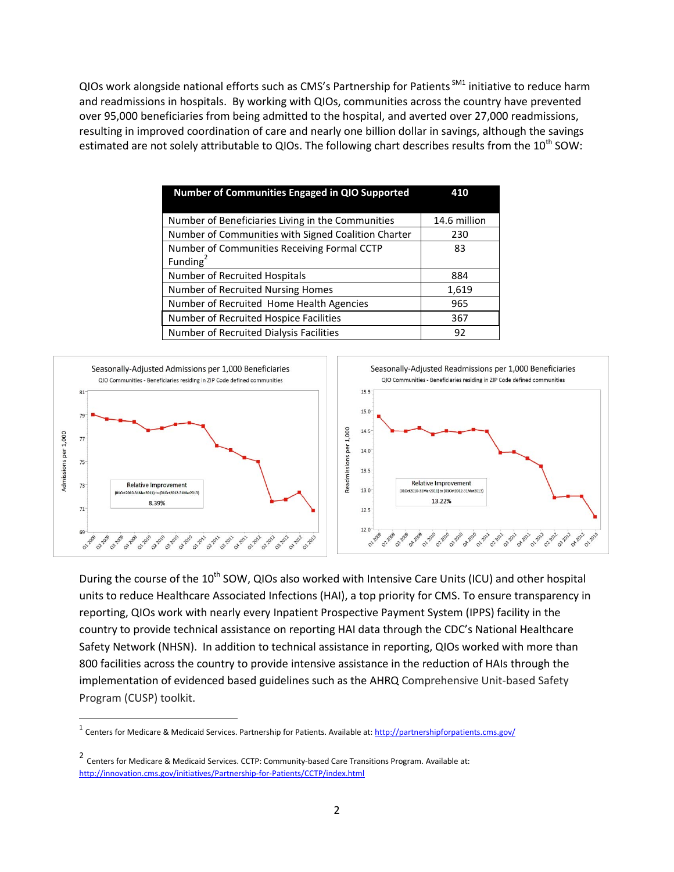QIOs work alongside national efforts such as CMS's Partnership for Patients <sup>SM1</sup> initiative to reduce harm and readmissions in hospitals. By working with QIOs, communities across the country have prevented over 95,000 beneficiaries from being admitted to the hospital, and averted over 27,000 readmissions, resulting in improved coordination of care and nearly one billion dollar in savings, although the savings estimated are not solely attributable to QIOs. The following chart describes results from the 10<sup>th</sup> SOW:

| <b>Number of Communities Engaged in QIO Supported</b> | 410          |
|-------------------------------------------------------|--------------|
|                                                       |              |
| Number of Beneficiaries Living in the Communities     | 14.6 million |
| Number of Communities with Signed Coalition Charter   | 230          |
| Number of Communities Receiving Formal CCTP           | 83           |
| Funding $2$                                           |              |
| Number of Recruited Hospitals                         | 884          |
| Number of Recruited Nursing Homes                     | 1,619        |
| Number of Recruited Home Health Agencies              | 965          |
| Number of Recruited Hospice Facilities                | 367          |
| Number of Recruited Dialysis Facilities               | 92           |



During the course of the 10<sup>th</sup> SOW, QIOs also worked with Intensive Care Units (ICU) and other hospital units to reduce Healthcare Associated Infections (HAI), a top priority for CMS. To ensure transparency in reporting, QIOs work with nearly every Inpatient Prospective Payment System (IPPS) facility in the country to provide technical assistance on reporting HAI data through the CDC's National Healthcare Safety Network (NHSN). In addition to technical assistance in reporting, QIOs worked with more than 800 facilities across the country to provide intensive assistance in the reduction of HAIs through the implementation of evidenced based guidelines such as the AHRQ Comprehensive Unit-based Safety Program (CUSP) toolkit.

 $\overline{\phantom{a}}$ 

<sup>1</sup> Centers for Medicare & Medicaid Services. Partnership for Patients. Available at[: http://partnershipforpatients.cms.gov/](http://partnershipforpatients.cms.gov/)

<sup>2</sup> Centers for Medicare & Medicaid Services. CCTP: Community‐based Care Transitions Program. Available at: <http://innovation.cms.gov/initiatives/Partnership‐for‐Patients/CCTP/index.html>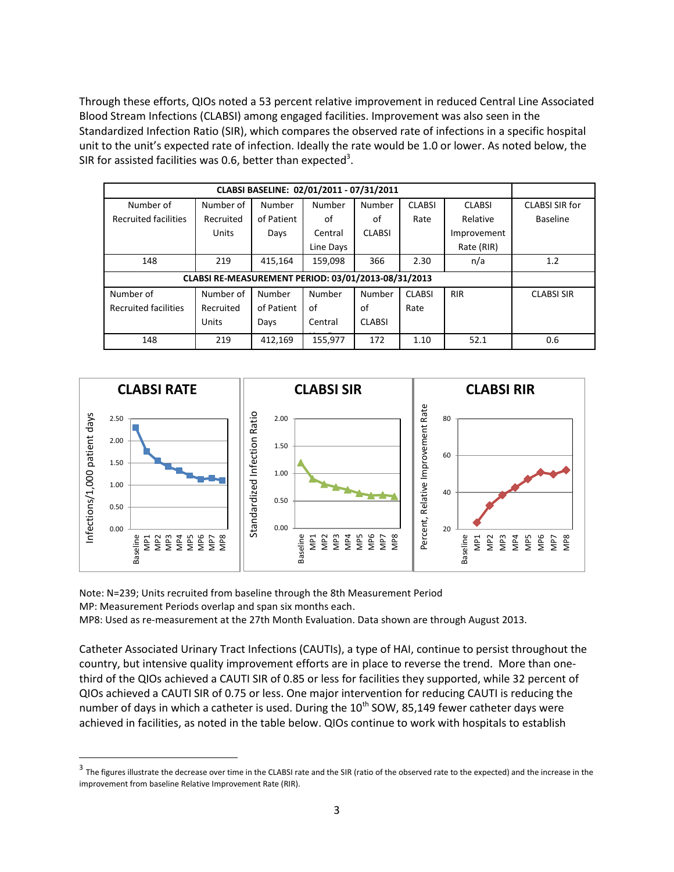Through these efforts, QIOs noted a 53 percent relative improvement in reduced Central Line Associated Blood Stream Infections (CLABSI) among engaged facilities. Improvement was also seen in the Standardized Infection Ratio (SIR), which compares the observed rate of infections in a specific hospital unit to the unit's expected rate of infection. Ideally the rate would be 1.0 or lower. As noted below, the SIR for assisted facilities was 0.6, better than expected<sup>3</sup>.

| CLABSI BASELINE: 02/01/2011 - 07/31/2011            |           |            |                                         |               |               |               |                   |
|-----------------------------------------------------|-----------|------------|-----------------------------------------|---------------|---------------|---------------|-------------------|
| Number of                                           | Number of | Number     | Number                                  | Number        | <b>CLABSI</b> | <b>CLABSI</b> | CLABSI SIR for    |
| <b>Recruited facilities</b>                         | Recruited | of Patient | of                                      | of            | Rate          | Relative      | <b>Baseline</b>   |
|                                                     | Units     | Days       | <b>CLABSI</b><br>Central<br>Improvement |               |               |               |                   |
|                                                     |           |            | Line Days                               |               |               | Rate (RIR)    |                   |
| 148                                                 | 219       | 415,164    | 159,098                                 | 366           | 2.30          | n/a           | 1.2               |
| CLABSI RE-MEASUREMENT PERIOD: 03/01/2013-08/31/2013 |           |            |                                         |               |               |               |                   |
| Number of                                           | Number of | Number     | Number                                  | Number        | <b>CLABSI</b> | <b>RIR</b>    | <b>CLABSI SIR</b> |
| <b>Recruited facilities</b>                         | Recruited | of Patient | of                                      | of            | Rate          |               |                   |
|                                                     | Units     | Days       | Central                                 | <b>CLABSI</b> |               |               |                   |
| 148                                                 | 219       | 412,169    | 155,977                                 | 172           | 1.10          | 52.1          | 0.6               |



Note: N=239; Units recruited from baseline through the 8th Measurement Period MP: Measurement Periods overlap and span six months each. MP8: Used as re-measurement at the 27th Month Evaluation. Data shown are through August 2013.

Catheter Associated Urinary Tract Infections (CAUTIs), a type of HAI, continue to persist throughout the country, but intensive quality improvement efforts are in place to reverse the trend. More than onethird of the QIOs achieved a CAUTI SIR of 0.85 or less for facilities they supported, while 32 percent of QIOs achieved a CAUTI SIR of 0.75 or less. One major intervention for reducing CAUTI is reducing the number of days in which a catheter is used. During the  $10^{th}$  SOW, 85,149 fewer catheter days were achieved in facilities, as noted in the table below. QIOs continue to work with hospitals to establish

 3 The figures illustrate the decrease over time in the CLABSI rate and the SIR (ratio of the observed rate to the expected) and the increase in the improvement from baseline Relative Improvement Rate (RIR).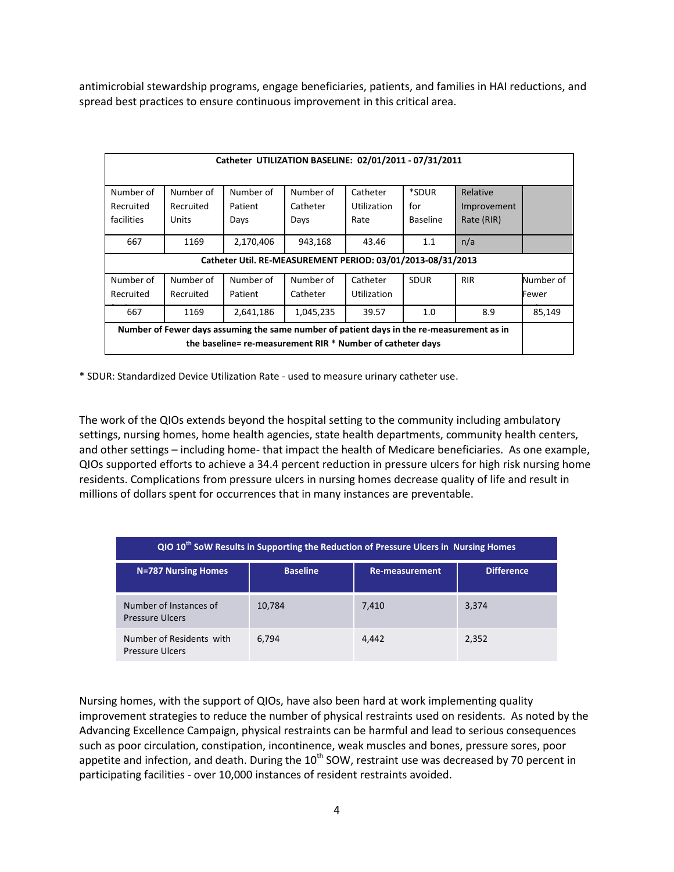antimicrobial stewardship programs, engage beneficiaries, patients, and families in HAI reductions, and spread best practices to ensure continuous improvement in this critical area.

| Catheter UTILIZATION BASELINE: 02/01/2011 - 07/31/2011                                    |                                                             |           |           |                    |                 |             |           |
|-------------------------------------------------------------------------------------------|-------------------------------------------------------------|-----------|-----------|--------------------|-----------------|-------------|-----------|
|                                                                                           |                                                             |           |           |                    |                 |             |           |
| Number of                                                                                 | Number of                                                   | Number of | Number of | Catheter           | *SDUR           | Relative    |           |
|                                                                                           |                                                             |           |           |                    |                 |             |           |
| Recruited                                                                                 | Recruited                                                   | Patient   | Catheter  | <b>Utilization</b> | for             | Improvement |           |
| facilities                                                                                | Units                                                       | Days      | Days      | Rate               | <b>Baseline</b> | Rate (RIR)  |           |
|                                                                                           |                                                             |           |           |                    |                 |             |           |
| 667                                                                                       | 1169                                                        | 2,170,406 | 943,168   | 43.46              | 1.1             | n/a         |           |
|                                                                                           | Catheter Util. RE-MEASUREMENT PERIOD: 03/01/2013-08/31/2013 |           |           |                    |                 |             |           |
|                                                                                           |                                                             |           |           |                    |                 |             |           |
| Number of                                                                                 | Number of                                                   | Number of | Number of | Catheter           | <b>SDUR</b>     | <b>RIR</b>  | Number of |
| Recruited                                                                                 | Recruited                                                   | Patient   | Catheter  | <b>Utilization</b> |                 |             | Fewer     |
|                                                                                           |                                                             |           |           |                    |                 |             |           |
| 667                                                                                       | 1169                                                        | 2,641,186 | 1,045,235 | 39.57              | 1.0             | 8.9         | 85,149    |
| Number of Fewer days assuming the same number of patient days in the re-measurement as in |                                                             |           |           |                    |                 |             |           |
| the baseline= re-measurement RIR * Number of catheter days                                |                                                             |           |           |                    |                 |             |           |
|                                                                                           |                                                             |           |           |                    |                 |             |           |

\* SDUR: Standardized Device Utilization Rate - used to measure urinary catheter use.

The work of the QIOs extends beyond the hospital setting to the community including ambulatory settings, nursing homes, home health agencies, state health departments, community health centers, and other settings – including home- that impact the health of Medicare beneficiaries. As one example, QIOs supported efforts to achieve a 34.4 percent reduction in pressure ulcers for high risk nursing home residents. Complications from pressure ulcers in nursing homes decrease quality of life and result in millions of dollars spent for occurrences that in many instances are preventable.

| QIO 10 <sup>th</sup> SoW Results in Supporting the Reduction of Pressure Ulcers in Nursing Homes |                 |                |                   |  |  |
|--------------------------------------------------------------------------------------------------|-----------------|----------------|-------------------|--|--|
| <b>N=787 Nursing Homes</b>                                                                       | <b>Baseline</b> | Re-measurement | <b>Difference</b> |  |  |
| Number of Instances of<br>Pressure Ulcers                                                        | 10,784          | 7,410          | 3,374             |  |  |
| Number of Residents with<br>Pressure Ulcers                                                      | 6,794           | 4,442          | 2,352             |  |  |

Nursing homes, with the support of QIOs, have also been hard at work implementing quality improvement strategies to reduce the number of physical restraints used on residents. As noted by the Advancing Excellence Campaign, physical restraints can be harmful and lead to serious consequences such as poor circulation, constipation, incontinence, weak muscles and bones, pressure sores, poor appetite and infection, and death. During the  $10<sup>th</sup>$  SOW, restraint use was decreased by 70 percent in participating facilities - over 10,000 instances of resident restraints avoided.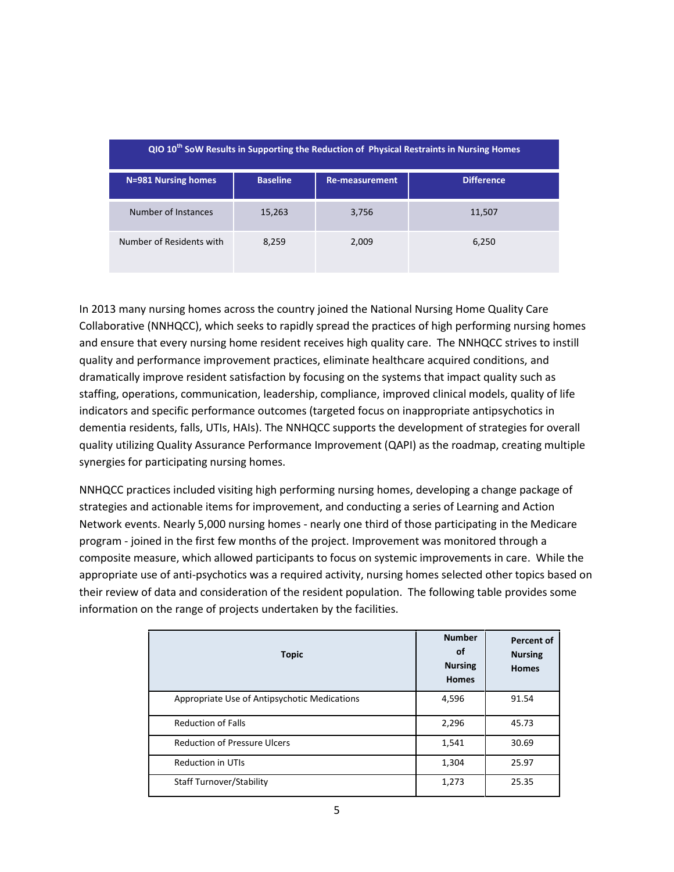| QIO 10 <sup>th</sup> SoW Results in Supporting the Reduction of Physical Restraints in Nursing Homes |                 |                |                   |  |  |
|------------------------------------------------------------------------------------------------------|-----------------|----------------|-------------------|--|--|
| N=981 Nursing homes                                                                                  | <b>Baseline</b> | Re-measurement | <b>Difference</b> |  |  |
| Number of Instances                                                                                  | 15,263          | 3,756          | 11,507            |  |  |
| Number of Residents with                                                                             | 8,259           | 2,009          | 6,250             |  |  |

In 2013 many nursing homes across the country joined the National Nursing Home Quality Care Collaborative (NNHQCC), which seeks to rapidly spread the practices of high performing nursing homes and ensure that every nursing home resident receives high quality care. The NNHQCC strives to instill quality and performance improvement practices, eliminate healthcare acquired conditions, and dramatically improve resident satisfaction by focusing on the systems that impact quality such as staffing, operations, communication, leadership, compliance, improved clinical models, quality of life indicators and specific performance outcomes (targeted focus on inappropriate antipsychotics in dementia residents, falls, UTIs, HAIs). The NNHQCC supports the development of strategies for overall quality utilizing Quality Assurance Performance Improvement (QAPI) as the roadmap, creating multiple synergies for participating nursing homes.

NNHQCC practices included visiting high performing nursing homes, developing a change package of strategies and actionable items for improvement, and conducting a series of Learning and Action Network events. Nearly 5,000 nursing homes - nearly one third of those participating in the Medicare program - joined in the first few months of the project. Improvement was monitored through a composite measure, which allowed participants to focus on systemic improvements in care. While the appropriate use of anti-psychotics was a required activity, nursing homes selected other topics based on their review of data and consideration of the resident population. The following table provides some information on the range of projects undertaken by the facilities.

| <b>Topic</b>                                 | <b>Number</b><br>οf<br><b>Nursing</b><br><b>Homes</b> | <b>Percent of</b><br><b>Nursing</b><br><b>Homes</b> |
|----------------------------------------------|-------------------------------------------------------|-----------------------------------------------------|
| Appropriate Use of Antipsychotic Medications | 4,596                                                 | 91.54                                               |
| <b>Reduction of Falls</b>                    | 2,296                                                 | 45.73                                               |
| <b>Reduction of Pressure Ulcers</b>          | 1,541                                                 | 30.69                                               |
| <b>Reduction in UTIs</b>                     | 1,304                                                 | 25.97                                               |
| <b>Staff Turnover/Stability</b>              | 1,273                                                 | 25.35                                               |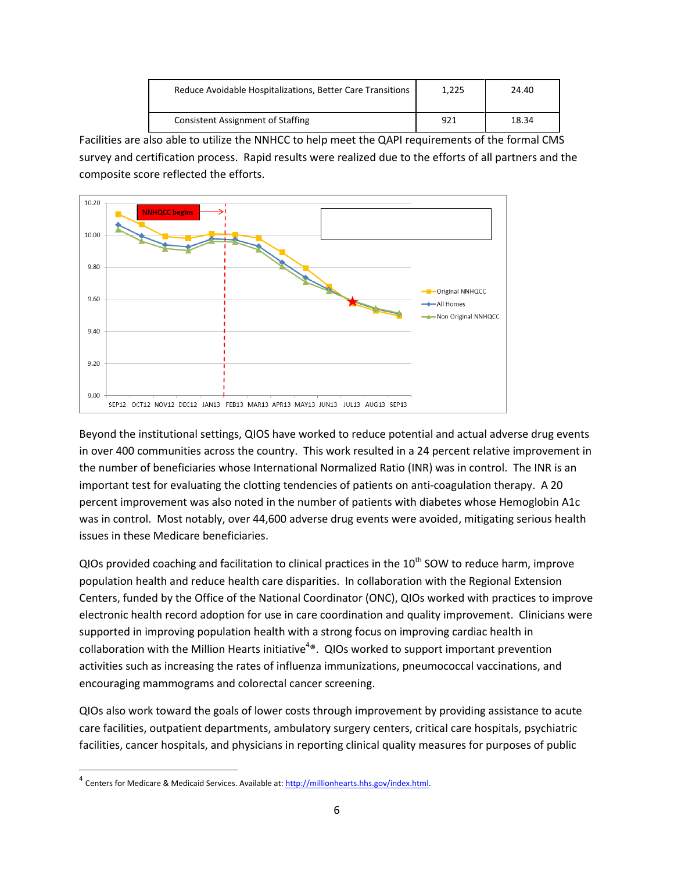| Reduce Avoidable Hospitalizations, Better Care Transitions | 1,225 | 24.40 |
|------------------------------------------------------------|-------|-------|
| <b>Consistent Assignment of Staffing</b>                   | 921   | 18.34 |

Facilities are also able to utilize the NNHCC to help meet the QAPI requirements of the formal CMS survey and certification process. Rapid results were realized due to the efforts of all partners and the composite score reflected the efforts.



Beyond the institutional settings, QIOS have worked to reduce potential and actual adverse drug events in over 400 communities across the country. This work resulted in a 24 percent relative improvement in the number of beneficiaries whose International Normalized Ratio (INR) was in control. The INR is an important test for evaluating the clotting tendencies of patients on anti-coagulation therapy. A 20 percent improvement was also noted in the number of patients with diabetes whose Hemoglobin A1c was in control. Most notably, over 44,600 adverse drug events were avoided, mitigating serious health issues in these Medicare beneficiaries.

QIOs provided coaching and facilitation to clinical practices in the  $10<sup>th</sup>$  SOW to reduce harm, improve population health and reduce health care disparities. In collaboration with the Regional Extension Centers, funded by the Office of the National Coordinator (ONC), QIOs worked with practices to improve electronic health record adoption for use in care coordination and quality improvement. Clinicians were supported in improving population health with a strong focus on improving cardiac health in collaboration with the Million Hearts initiative<sup>4®</sup>. QIOs worked to support important prevention activities such as increasing the rates of influenza immunizations, pneumococcal vaccinations, and encouraging mammograms and colorectal cancer screening.

QIOs also work toward the goals of lower costs through improvement by providing assistance to acute care facilities, outpatient departments, ambulatory surgery centers, critical care hospitals, psychiatric facilities, cancer hospitals, and physicians in reporting clinical quality measures for purposes of public

 $\overline{\phantom{a}}$ 

<sup>&</sup>lt;sup>4</sup> Centers for Medicare & Medicaid Services. Available at: <u>http://millionhearts.hhs.gov/index.html</u>.